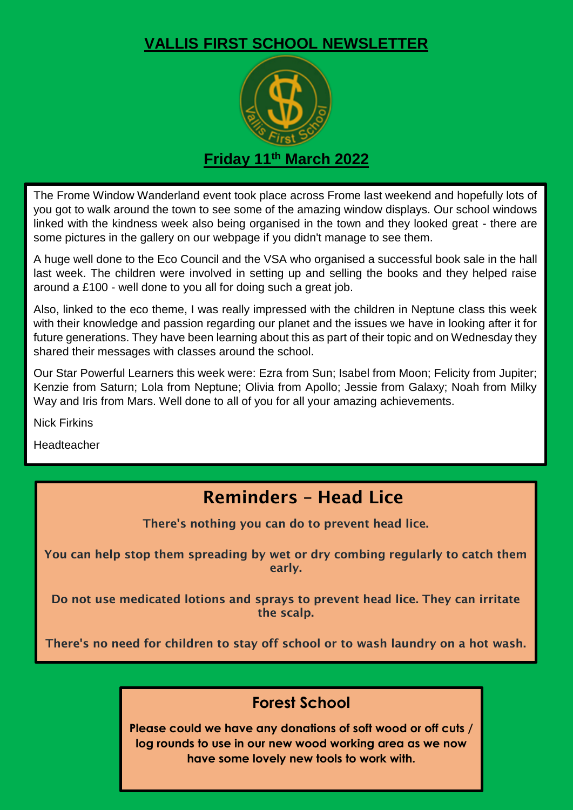## **VALLIS FIRST SCHOOL NEWSLETTER**



The Frome Window Wanderland event took place across Frome last weekend and hopefully lots of you got to walk around the town to see some of the amazing window displays. Our school windows linked with the kindness week also being organised in the town and they looked great - there are some pictures in the gallery on our webpage if you didn't manage to see them.

A huge well done to the Eco Council and the VSA who organised a successful book sale in the hall last week. The children were involved in setting up and selling the books and they helped raise around a £100 - well done to you all for doing such a great job.

Also, linked to the eco theme, I was really impressed with the children in Neptune class this week with their knowledge and passion regarding our planet and the issues we have in looking after it for future generations. They have been learning about this as part of their topic and on Wednesday they shared their messages with classes around the school.

Our Star Powerful Learners this week were: Ezra from Sun; Isabel from Moon; Felicity from Jupiter; Kenzie from Saturn; Lola from Neptune; Olivia from Apollo; Jessie from Galaxy; Noah from Milky Way and Iris from Mars. Well done to all of you for all your amazing achievements.

Nick Firkins

Headteacher

## **Reminders – Head Lice**

**There's nothing you can do to prevent head lice.**

**You can help stop them spreading by wet or dry combing regularly to catch them early.**

**Do not use medicated lotions and sprays to prevent head lice. They can irritate the scalp.**

**There's no need for children to stay off school or to wash laundry on a hot wash.**

## **Forest School**

**Please could we have any donations of soft wood or off cuts / log rounds to use in our new wood working area as we now have some lovely new tools to work with.**